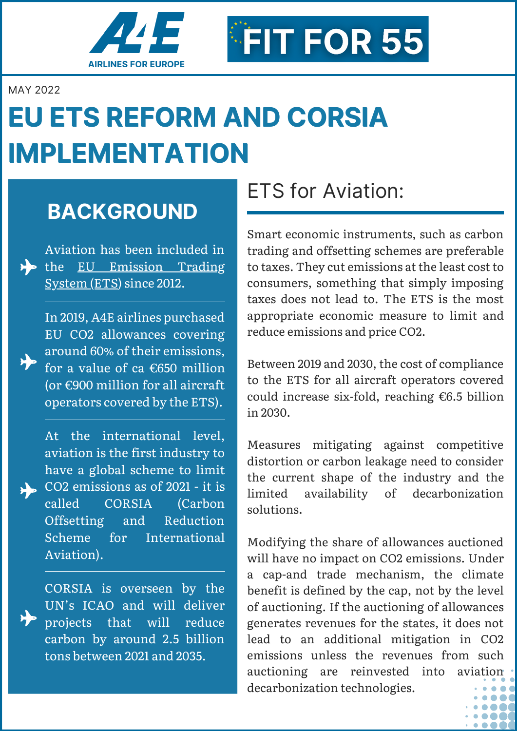

MAY 2022

# **EU ETS REFORM AND CORSIA IMPLEMENTATION**

## **BACKGROUND**

Aviation has been included in the EU [Emission](https://a4e.eu/publications/a4e-input-on-public-consultation-updating-the-eu-emissions-trading-system-ets/) Trading System (ETS) since 2012.

> In 2019, A4E airlines purchased EU CO2 allowances covering around 60% of their emissions, for a value of ca €650 million (or €900 million for all aircraft operators covered by the ETS).

At the international level, aviation is the first industry to have a global scheme to limit CO2 emissions as of 2021 - it is called CORSIA (Carbon Offsetting and Reduction Scheme for International Aviation).

> CORSIA is overseen by the UN's ICAO and will deliver projects that will reduce carbon by around 2.5 billion tons between 2021 and 2035.

## ETS for Aviation:

FIT FOR 55

Smart economic instruments, such as carbon trading and offsetting schemes are preferable to taxes. They cut emissions at the least cost to consumers, something that simply imposing taxes does not lead to. The ETS is the most appropriate economic measure to limit and reduce emissions and price CO2.

Between 2019 and 2030, the cost of compliance to the ETS for all aircraft operators covered could increase six-fold, reaching €6.5 billion in 2030.

Measures mitigating against competitive distortion or carbon leakage need to consider the current shape of the industry and the limited availability of decarbonization solutions.

Modifying the share of allowances auctioned will have no impact on CO2 emissions. Under a cap-and trade mechanism, the climate benefit is defined by the cap, not by the level of auctioning. If the auctioning of allowances generates revenues for the states, it does not lead to an additional mitigation in CO2 emissions unless the revenues from such auctioning are reinvested into aviation decarbonization technologies.